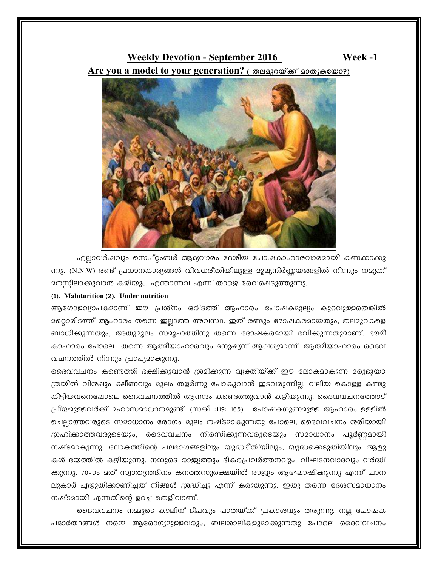## **Weekly Devotion - September 2016** Are you a model to your generation? ( തലമുറയ്ക്ക് മാതൃകയോ?)



എല്ലാവർഷവും സെപ്റ്റംബർ ആദ്യവാരം ദേശീയ പോഷകാഹാരവാരമായി കണക്കാക്കു ന്നു. (N.N.W) രണ്ട് പ്രധാനകാര്യങ്ങൾ വിവധരീതിയിലുള്ള മൂല്യനിർണ്ണയങ്ങളിൽ നിന്നും നമുക്ക് <u> </u>ദനസ്സിലാക്കുവാൻ കഴിയും. എന്താണവ എന്ന് താഴെ രേഖപ്പെടുത്തുന്നു.

## (1). Malnturition (2). Under nutrition

ആഗോളവ്യാപകമാണ് ഈ പ്രശ്നം ഒരിടത്ത് ആഹാരം പോഷകമൂല്യം കുറവുള്ളതെങ്കിൽ 2റ്റൊരിടത്ത് ആഹാരം തന്നെ ഇല്ലാത്ത അവസ്ഥ. ഇത് രണ്ടും ദോഷകരമായതും, തലമുറകളെ ബാധിക്കുന്നതും, അതുമൂലം സമൂഹത്തിനു തന്നെ ദോഷകരമായി ഭവിക്കുന്നതുമാണ്. ഭൗമീ കാഹാരം പോലെ തന്നെ ആത്മീയാഹാരവും മനുഷ്യന് ആവശ്യമാണ്. ആത്മീയാഹാരം ദൈവ വചനത്തിൽ നിന്നും പ്രാപ്യമാകുന്നു.

ദൈവവചനം കണ്ടെത്തി ഭക്ഷിക്കുവാൻ ശ്രമിക്കുന്ന വ്യക്തിയ്ക്ക് ഈ ലോകമാകുന്ന മരുഭുയാ ത്രയിൽ വിശഷും ക്ഷീണവും മൂലം തളർന്നു പോകുവാൻ ഇടവരുന്നില്ല. വലിയ കൊള്ള കണ്ടു കിട്ടിയവനെപ്പോലെ ദൈവചനത്തിൽ ആനന്ദം കണ്ടെത്തുവാൻ കഴിയുന്നു. ദൈവവചനത്തോട് പ്രീയമുള്ളവർക്ക് മഹാസമാധാനമുണ്ട്. (സങ്കീ :119: 165) . പോഷകഗുണമുള്ള ആഹാരം ഉള്ളിൽ ചെല്ലാത്തവരുടെ സമാധാനം രോഗം മൂലം നഷ്ടമാകുന്നതു പോലെ, ദൈവവചനം ശരിയായി ഗ്രഹിക്കാത്തവരുടെയും, ദൈവവചനം നിരസിക്കുന്നവരുടെയും സമാധാനം പൂർണ്ണമായി നഷ്ടമാകുന്നു. ലോകത്തിന്റെ പലഭാഗങ്ങളിലും യുദ്ധഭീതിയിലും, യുദ്ധകെടുതിയിലും ആളു കൾ ഭയത്തിൽ കഴിയുന്നു. നമ്മുടെ രാജ്യത്തും ഭീകരപ്രവർത്തനവും, വിഘടനവാദവും വർദ്ധി ക്കുന്നു. 70-ാം മത് സ്വാതന്ത്രദിനം കനത്തസുരക്ഷയിൽ രാജ്യം ആഘോഷിക്കുന്നു എന്ന് ചാന ലുകാർ എഴുതിക്കാണിച്ചത് നിങ്ങൾ ശ്രദ്ധിച്ചു എന്ന് കരുതുന്നു. ഇതു തന്നെ ദേശസമാധാനം നഷ്ടമായി എന്നതിന്റെ ഉറച്ച തെളിവാണ്.

ദൈവവചനം നമ്മുടെ കാലിന് ദീപവും പാതയ്ക്ക് പ്രകാശവും തരുന്നു. നല്ല പോഷക പദാർത്ഥങ്ങൾ നമ്മെ ആരോഗ്യദുള്ളവരും, ബലശാലികളുദാക്കുന്നതു പോലെ ദൈവവചനം

Week-1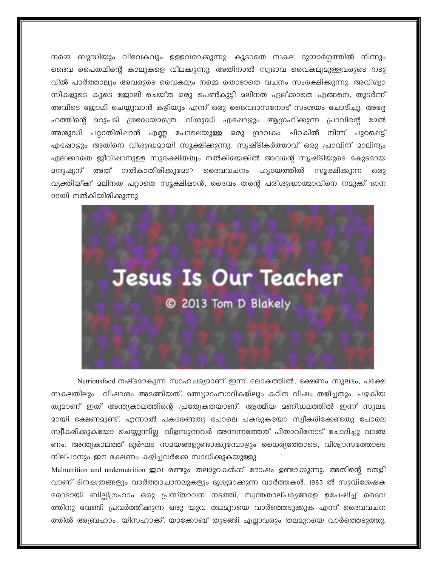നമ്മെ ബുദ്ധിയും വിവേകവും ഉള്ളവരാക്കുന്നു. കൂടാതെ സകല ദുമ്മാർഗ്ഗത്തിൽ നിന്നും ദൈവ പൈതലിന്റെ കാലുകളെ വിലക്കുന്നു. അതിനാൽ സ്വഭാവ വൈകല്യമുള്ളവരുടെ നടു വിൽ പാർത്താലും അവരുടെ വൈകല്യം നമ്മെ തൊടാതെ വചനം സംരക്ഷിക്കുന്നു. അവിശ്വാ സികളുടെ കൂടെ ജോലി ചെയ്ത ഒരു പെൺകുട്ടി മലിനത ഏല്ക്കാതെ എങ്ങനെ, തുടർന്ന് അവിടെ ജോലി ചെയ്യുവാൻ കഴിയും എന്ന് ഒരു ദൈവദാസനോട് സംശയം ചോദിച്ചു. അദ്ദേ ഹത്തിന്റെ മറുപടി ശ്രദ്ധേയമത്രെ. വിശുദ്ധി എഷോഴും ആഗ്രഹിക്കുന്ന പ്രാവിന്റെ മേൽ അശുദ്ധി പറ്റാതിരിഷാൻ എണ്ണ പോലെയുള്ള ഒരു ദ്രാവകം ചിറകിൽ നിന്ന് പുറപ്പെട്ട് എഷോഴും അതിനെ വിശുദ്ധമായി സൂക്ഷിക്കുന്നു. സൃഷ്ടികർത്താവ് ഒരു പ്രാവിന് മാലിന്യം ഏല്ക്കാതെ ജീവിഷാനുള്ള സുരക്ഷിതത്വം നൽകിയെങ്കിൽ അവന്റെ സൃഷ്ടിയുടെ മകുടമായ സൂക്ഷിക്കുന്ന ഒരു വ്യക്തിയ്ക്ക് മലിനത പറ്റാതെ സുക്ഷിഷാൻ, ദൈവം തന്റെ പരിശുദ്ധാത്മാവിനെ നമുക്ക് ദാന <u>മായി നൽകിയിരിക്കുന്നു.</u>



Nutriousfood നഷ്ടമാകുന്ന സാഹചര്യമാണ് ഇന്ന് ലോകത്തിൽ, ഭക്ഷണം സുലഭം, പക്ഷേ സകലതിലും വിഷാശം അടങ്ങിയത്. മത്സ്യമാംസാദികളിലും കഠിന വിഷം തളിച്ചതും, പഴകിയ തുമാണ് ഇത് അന്ത്യകാലത്തിന്റെ പ്രത്യേകതയാണ്. ആത്മീയ മണ്ഡലത്തിൽ ഇന്ന് സുലഭ <u>ാായി ഭക്ഷണമുണ്ട്. എന്നാൽ പകരേണ്ടതു പോലെ പകരുകയോ സ്വീകരിക്കേണ്ടതു പോലെ</u> സ്വീകരിക്കുകയോ ചെയ്യുന്നില്ല. വിളമ്പുന്നവർ അന്നന്നത്തേത് പിതാവിനോട് ചോദിച്ചു വാങ്ങ ണം. അന്ത്യകാലത്ത് ദുർഘട സമയങ്ങളുണ്ടാക്കുമ്പോഴും ധൈര്യത്തോടെ, വിശ്വാസത്തോടെ നില്പാനും ഈ ഭക്ഷണം കഴിച്ചവർക്കേ സാധിക്കുകയുള്ളു.

Malnutrition and undernutrition ഇവ രണ്ടും തലമുറകൾക്ക് ദോഷം ഉണ്ടാക്കുന്നു. അതിന്റെ തെളി വാണ് ദിനഷത്രങ്ങളും വാർത്താചാനലുകളും ദൃശ്യമാക്കുന്ന വാർത്തകൾ. 1983 ൽ സുവിശേഷക രോടായി ബില്ലിഗ്രഹാം ഒരു പ്രസ്താവന നടത്തി, സ്വന്തതാല്പര്യങ്ങളെ ഉപേഷിച്ച് ദൈവ ത്തിനു വേണ്ടി പ്രവർത്തിക്കുന്ന ഒരു യുവ തലമുറയെ വാർത്തെടുക്കുക എന്ന് ദൈവവചന ത്തിൽ അബ്രഹാം, യിസഹാക്ക്, യാക്കോബ് തുടങ്ങി എല്ലാവരും തലമുറയെ വാർത്തെടുത്തു.